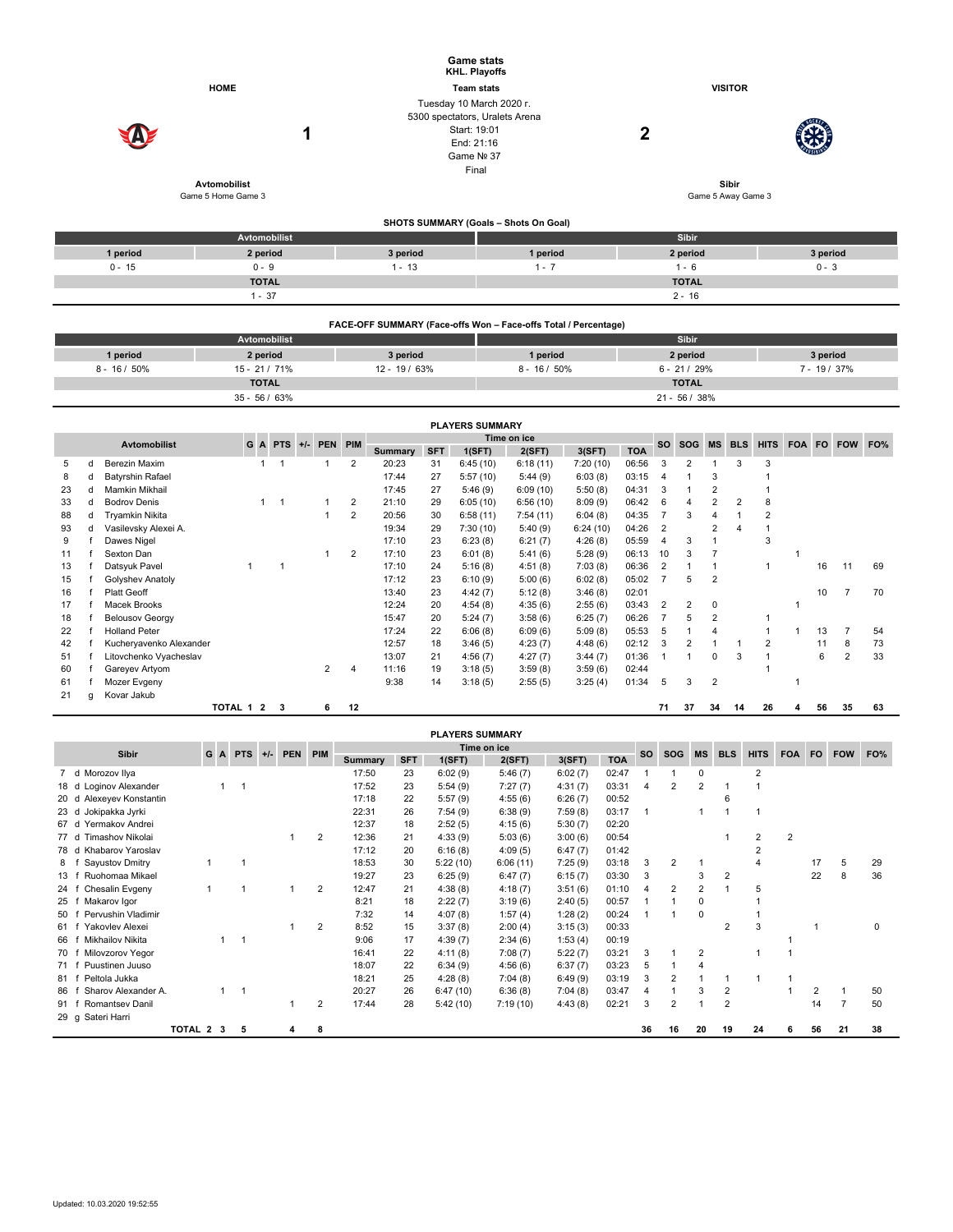|                 |                                           | <b>Game stats</b><br><b>KHL. Playoffs</b>                                                                       |                 |                                    |                 |
|-----------------|-------------------------------------------|-----------------------------------------------------------------------------------------------------------------|-----------------|------------------------------------|-----------------|
|                 | <b>HOME</b>                               | <b>Team stats</b>                                                                                               |                 | <b>VISITOR</b>                     |                 |
|                 | 1                                         | Tuesday 10 March 2020 r.<br>5300 spectators, Uralets Arena<br>Start: 19:01<br>End: 21:16<br>Game Nº 37<br>Final |                 | $\mathbf 2$                        |                 |
|                 | <b>Avtomobilist</b><br>Game 5 Home Game 3 |                                                                                                                 |                 | <b>Sibir</b><br>Game 5 Away Game 3 |                 |
|                 |                                           | SHOTS SUMMARY (Goals - Shots On Goal)                                                                           |                 |                                    |                 |
|                 | Avtomobilist                              |                                                                                                                 |                 | <b>Sibir</b>                       |                 |
| 1 period        | 2 period                                  | 3 period                                                                                                        | 1 period        | 2 period                           | 3 period        |
| $0 - 15$        | $0 - 9$                                   | $1 - 13$                                                                                                        | $1 - 7$         | $1 - 6$                            | $0 - 3$         |
|                 | <b>TOTAL</b>                              |                                                                                                                 |                 | <b>TOTAL</b>                       |                 |
|                 | $1 - 37$                                  |                                                                                                                 |                 | $2 - 16$                           |                 |
|                 |                                           | FACE-OFF SUMMARY (Face-offs Won - Face-offs Total / Percentage)                                                 |                 |                                    |                 |
|                 | Avtomobilist                              |                                                                                                                 |                 | Sibir                              |                 |
|                 |                                           |                                                                                                                 |                 |                                    |                 |
| 1 period        | 2 period                                  | 3 period                                                                                                        | 1 period        | 2 period                           | 3 period        |
| $8 - 16 / 50\%$ | 15 - 21 / 71%                             | 12 - 19 / 63%                                                                                                   | $8 - 16 / 50\%$ | $6 - 21 / 29%$                     | $7 - 19 / 37\%$ |
|                 | <b>TOTAL</b>                              |                                                                                                                 |                 | <b>TOTAL</b>                       |                 |

|                     |   |                         |         |                |   |                 |                |             |        | <b>FLAILING GUITHMANI</b> |          |            |       |           |                |                |            |             |            |           |            |     |
|---------------------|---|-------------------------|---------|----------------|---|-----------------|----------------|-------------|--------|---------------------------|----------|------------|-------|-----------|----------------|----------------|------------|-------------|------------|-----------|------------|-----|
| <b>Avtomobilist</b> |   |                         |         | GA             |   | PTS +/- PEN PIM |                | Time on ice |        |                           |          |            |       | <b>SO</b> | SOG            | <b>MS</b>      | <b>BLS</b> | <b>HITS</b> | <b>FOA</b> | <b>FO</b> | <b>FOW</b> | FO% |
|                     |   |                         |         |                |   |                 | <b>Summary</b> | <b>SFT</b>  | 1(SFT) | 2(SFT)                    | 3(SFT)   | <b>TOA</b> |       |           |                |                |            |             |            |           |            |     |
| 5                   | d | Berezin Maxim           |         |                |   |                 | 2              | 20:23       | 31     | 6:45(10)                  | 6:18(11) | 7:20 (10)  | 06:56 | 3         | 2              |                |            | 3           |            |           |            |     |
| 8                   | d | <b>Batyrshin Rafael</b> |         |                |   |                 |                | 17:44       | 27     | 5:57(10)                  | 5:44(9)  | 6:03(8)    | 03:15 |           |                | 3              |            |             |            |           |            |     |
| 23                  | d | Mamkin Mikhail          |         |                |   |                 |                | 17:45       | 27     | 5:46(9)                   | 6:09(10) | 5:50(8)    | 04:31 | 3         |                | 2              |            |             |            |           |            |     |
| 33                  | d | <b>Bodrov Denis</b>     |         |                |   |                 | $\overline{2}$ | 21:10       | 29     | 6:05(10)                  | 6:56(10) | 8:09(9)    | 06:42 | 6         |                |                | 2          | 8           |            |           |            |     |
| 88                  | d | Tryamkin Nikita         |         |                |   |                 | $\overline{2}$ | 20:56       | 30     | 6:58(11)                  | 7:54(11) | 6:04(8)    | 04:35 |           | 3              | 4              |            | 2           |            |           |            |     |
| 93                  | d | Vasilevsky Alexei A.    |         |                |   |                 |                | 19:34       | 29     | 7:30(10)                  | 5:40(9)  | 6:24(10)   | 04:26 | 2         |                | $\overline{2}$ | 4          |             |            |           |            |     |
| 9                   |   | Dawes Nigel             |         |                |   |                 |                | 17:10       | 23     | 6:23(8)                   | 6:21(7)  | 4:26(8)    | 05:59 |           | 3              |                |            | 3           |            |           |            |     |
| 11                  |   | Sexton Dan              |         |                |   |                 | $\overline{2}$ | 17:10       | 23     | 6:01(8)                   | 5:41(6)  | 5:28(9)    | 06:13 | 10        | 3              |                |            |             |            |           |            |     |
| 13                  |   | Datsyuk Pavel           |         |                |   |                 |                | 17:10       | 24     | 5:16(8)                   | 4:51(8)  | 7:03(8)    | 06:36 | 2         |                |                |            |             |            | 16        | 11         | 69  |
| 15                  |   | Golyshev Anatoly        |         |                |   |                 |                | 17:12       | 23     | 6:10(9)                   | 5:00(6)  | 6:02(8)    | 05:02 |           | 5              | $\overline{2}$ |            |             |            |           |            |     |
| 16                  |   | <b>Platt Geoff</b>      |         |                |   |                 |                | 13:40       | 23     | 4:42(7)                   | 5:12(8)  | 3:46(8)    | 02:01 |           |                |                |            |             |            | 10        |            | 70  |
| 17                  |   | Macek Brooks            |         |                |   |                 |                | 12:24       | 20     | 4:54(8)                   | 4:35(6)  | 2:55(6)    | 03:43 | 2         | $\overline{2}$ | $\Omega$       |            |             |            |           |            |     |
| 18                  |   | <b>Belousov Georgy</b>  |         |                |   |                 |                | 15:47       | 20     | 5:24(7)                   | 3:58(6)  | 6:25(7)    | 06:26 |           | 5              | $\overline{2}$ |            |             |            |           |            |     |
| 22                  |   | <b>Holland Peter</b>    |         |                |   |                 |                | 17:24       | 22     | 6:06(8)                   | 6:09(6)  | 5:09(8)    | 05:53 | 5         |                | 4              |            |             |            | 13        |            | 54  |
| 42                  |   | Kucheryavenko Alexander |         |                |   |                 |                | 12:57       | 18     | 3:46(5)                   | 4:23(7)  | 4:48(6)    | 02:12 | 3         | 2              |                |            | 2           |            | 11        | 8          | 73  |
| 51                  |   | Litovchenko Vyacheslav  |         |                |   |                 |                | 13:07       | 21     | 4:56(7)                   | 4:27(7)  | 3:44(7)    | 01:36 |           |                | $\Omega$       | 3          |             |            | 6         | 2          | 33  |
| 60                  |   | Gareyev Artyom          |         |                |   | $\overline{2}$  | 4              | 11:16       | 19     | 3:18(5)                   | 3:59(8)  | 3:59(6)    | 02:44 |           |                |                |            |             |            |           |            |     |
| 61                  |   | Mozer Evgeny            |         |                |   |                 |                | 9:38        | 14     | 3:18(5)                   | 2:55(5)  | 3:25(4)    | 01:34 | 5         | 3              | $\overline{2}$ |            |             |            |           |            |     |
| 21                  | g | Kovar Jakub             |         |                |   |                 |                |             |        |                           |          |            |       |           |                |                |            |             |            |           |            |     |
|                     |   |                         | TOTAL 1 | $\overline{2}$ | 3 | 6               | 12             |             |        |                           |          |            |       | 71        | 37             | 34             | 14         | 26          | 4          | 56        | 35         | 63  |

|      | <b>PLAYERS SUMMARY</b>  |           |              |            |       |            |                |                |            |          |          |         |            |           |                |                |                |                |            |     |            |     |
|------|-------------------------|-----------|--------------|------------|-------|------------|----------------|----------------|------------|----------|----------|---------|------------|-----------|----------------|----------------|----------------|----------------|------------|-----|------------|-----|
|      | Sibir                   | G         | $\mathbf{A}$ | <b>PTS</b> | $+/-$ | <b>PEN</b> | <b>PIM</b>     | Time on ice    |            |          |          |         |            | <b>SO</b> | <b>SOG</b>     | <b>MS</b>      | <b>BLS</b>     | <b>HITS</b>    | <b>FOA</b> | FO. | <b>FOW</b> | FO% |
|      |                         |           |              |            |       |            |                | <b>Summary</b> | <b>SFT</b> | 1(SFT)   | 2(SFT)   | 3(SFT)  | <b>TOA</b> |           |                |                |                |                |            |     |            |     |
|      | Morozov Ilya<br>7 d     |           |              |            |       |            |                | 17:50          | 23         | 6:02(9)  | 5:46(7)  | 6:02(7) | 02:47      |           |                | 0              |                | $\overline{2}$ |            |     |            |     |
| 18 d | Loginov Alexander       |           |              |            |       |            |                | 17:52          | 23         | 5:54(9)  | 7:27(7)  | 4:31(7) | 03:31      | 4         | $\overline{2}$ | $\overline{2}$ |                |                |            |     |            |     |
| 20 d | Alexeyev Konstantin     |           |              |            |       |            |                | 17:18          | 22         | 5:57(9)  | 4:55(6)  | 6:26(7) | 00:52      |           |                |                | 6              |                |            |     |            |     |
| 23d  | Jokipakka Jyrki         |           |              |            |       |            |                | 22:31          | 26         | 7:54(9)  | 6:38(9)  | 7:59(8) | 03:17      |           |                |                |                |                |            |     |            |     |
| 67 d | Yermakov Andrei         |           |              |            |       |            |                | 12:37          | 18         | 2:52(5)  | 4:15(6)  | 5:30(7) | 02:20      |           |                |                |                |                |            |     |            |     |
| 77 d | <b>Timashov Nikolai</b> |           |              |            |       |            | 2              | 12:36          | 21         | 4:33(9)  | 5:03(6)  | 3:00(6) | 00:54      |           |                |                |                | 2              | 2          |     |            |     |
| 78 d | Khabarov Yaroslav       |           |              |            |       |            |                | 17:12          | 20         | 6:16(8)  | 4:09(5)  | 6:47(7) | 01:42      |           |                |                |                | $\overline{2}$ |            |     |            |     |
| 8    | Sayustov Dmitry         |           |              |            |       |            |                | 18:53          | 30         | 5:22(10) | 6:06(11) | 7:25(9) | 03:18      | 3         | 2              |                |                | 4              |            | 17  | 5          | 29  |
| 13   | Ruohomaa Mikael         |           |              |            |       |            |                | 19:27          | 23         | 6:25(9)  | 6:47(7)  | 6:15(7) | 03:30      | 3         |                | 3              | 2              |                |            | 22  | 8          | 36  |
| 24   | Chesalin Evgeny         |           |              |            |       |            | $\overline{2}$ | 12:47          | 21         | 4:38(8)  | 4:18(7)  | 3:51(6) | 01:10      | 4         | $\overline{2}$ | $\overline{2}$ |                | 5              |            |     |            |     |
| 25   | Makarov Igor            |           |              |            |       |            |                | 8:21           | 18         | 2:22(7)  | 3:19(6)  | 2:40(5) | 00:57      |           |                | 0              |                |                |            |     |            |     |
| 50   | Pervushin Vladimir      |           |              |            |       |            |                | 7:32           | 14         | 4:07(8)  | 1:57(4)  | 1:28(2) | 00:24      |           |                | 0              |                |                |            |     |            |     |
| 61 f | Yakovlev Alexei         |           |              |            |       |            | 2              | 8:52           | 15         | 3:37(8)  | 2:00(4)  | 3:15(3) | 00:33      |           |                |                | 2              | 3              |            |     |            | 0   |
| 66   | <b>Mikhailov Nikita</b> |           |              |            |       |            |                | 9:06           | 17         | 4:39(7)  | 2:34(6)  | 1:53(4) | 00:19      |           |                |                |                |                |            |     |            |     |
| 70   | Milovzorov Yegor        |           |              |            |       |            |                | 16:41          | 22         | 4:11(8)  | 7:08(7)  | 5:22(7) | 03:21      | 3         |                | 2              |                |                |            |     |            |     |
| 71 f | Puustinen Juuso         |           |              |            |       |            |                | 18:07          | 22         | 6:34(9)  | 4:56(6)  | 6:37(7) | 03:23      | 5         |                | 4              |                |                |            |     |            |     |
| 81   | Peltola Jukka           |           |              |            |       |            |                | 18:21          | 25         | 4:28(8)  | 7:04(8)  | 6:49(9) | 03:19      | 3         | 2              |                |                |                |            |     |            |     |
| 86   | Sharov Alexander A.     |           |              |            |       |            |                | 20:27          | 26         | 6:47(10) | 6:36(8)  | 7:04(8) | 03:47      |           |                | 3              | $\overline{2}$ |                |            | 2   |            | 50  |
| 91   | <b>Romantsey Danil</b>  |           |              |            |       |            | $\overline{2}$ | 17:44          | 28         | 5:42(10) | 7:19(10) | 4:43(8) | 02:21      | 3         | $\overline{2}$ |                | $\overline{2}$ |                |            | 14  |            | 50  |
|      | 29 g Sateri Harri       |           |              |            |       |            |                |                |            |          |          |         |            |           |                |                |                |                |            |     |            |     |
|      |                         | TOTAL 2 3 |              | 5          |       |            | я              |                |            |          |          |         |            | 36        | 16             | 20             | 19             | 24             | 6          | 56  | 21         | 38  |